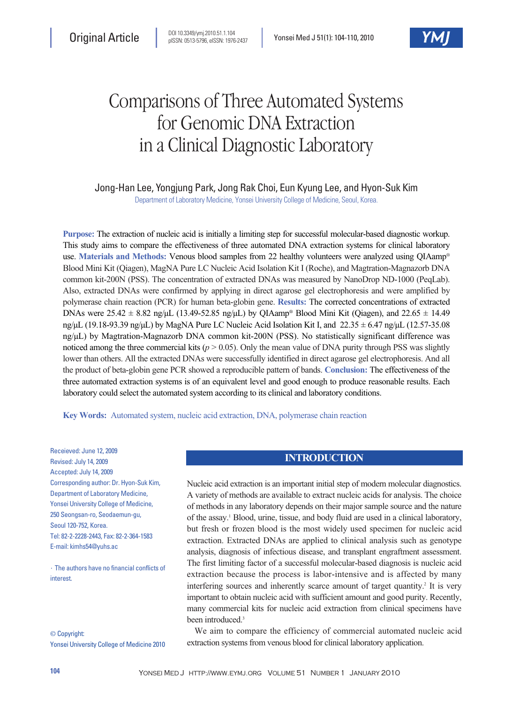# Comparisons of Three Automated Systems for Genomic DNA Extraction in a Clinical Diagnostic Laboratory

# Jong-Han Lee, Yongjung Park, Jong Rak Choi, Eun Kyung Lee, and Hyon-Suk Kim

Department of Laboratory Medicine, Yonsei University College of Medicine, Seoul, Korea.

**Purpose:** The extraction of nucleic acid is initially a limiting step for successful molecular-based diagnostic workup. This study aims to compare the effectiveness of three automated DNA extraction systems for clinical laboratory use. **Materials and Methods:** Venous blood samples from 22 healthy volunteers were analyzed using QIAamp® Blood Mini Kit (Qiagen), MagNA Pure LC Nucleic Acid Isolation Kit I (Roche), and Magtration-Magnazorb DNA common kit-200N (PSS). The concentration of extracted DNAs was measured by NanoDrop ND-1000 (PeqLab). Also, extracted DNAs were confirmed by applying in direct agarose gel electrophoresis and were amplified by polymerase chain reaction (PCR) for human beta-globin gene. **Results:** The corrected concentrations of extracted DNAs were  $25.42 \pm 8.82$  ng/ $\mu$ L (13.49-52.85 ng/ $\mu$ L) by QIAamp® Blood Mini Kit (Qiagen), and 22.65  $\pm$  14.49 ng/µL (19.18-93.39 ng/µL) by MagNA Pure LC Nucleic Acid Isolation Kit I, and 22.35 ± 6.47 ng/µL (12.57-35.08 ng/µL) by Magtration-Magnazorb DNA common kit-200N (PSS). No statistically significant difference was noticed among the three commercial kits ( $p > 0.05$ ). Only the mean value of DNA purity through PSS was slightly lower than others. All the extracted DNAs were successfully identified in direct agarose gel electrophoresis. And all the product of beta-globin gene PCR showed a reproducible pattern of bands. **Conclusion:** The effectiveness of the three automated extraction systems is of an equivalent level and good enough to produce reasonable results. Each laboratory could select the automated system according to its clinical and laboratory conditions.

**Key Words:** Automated system, nucleic acid extraction, DNA, polymerase chain reaction

Receieved: June 12, 2009 Revised: July 14, 2009 Accepted: July 14, 2009 Corresponding author: Dr. Hyon-Suk Kim, Department of Laboratory Medicine, Yonsei University College of Medicine, 250 Seongsan-ro, Seodaemun-gu, Seoul 120-752, Korea. Tel: 82-2-2228-2443, Fax: 82-2-364-1583 E-mail: kimhs54@yuhs.ac

∙The authors have no financial conflicts of **interest** 

© Copyright: Yonsei University College of Medicine 2010

## **INTRODUCTION**

Nucleic acid extraction is an important initial step of modern molecular diagnostics. A variety of methods are available to extract nucleic acids for analysis. The choice of methods in any laboratory depends on their major sample source and the nature of the assay.1 Blood, urine, tissue, and body fluid are used in a clinical laboratory, but fresh or frozen blood is the most widely used specimen for nucleic acid extraction. Extracted DNAs are applied to clinical analysis such as genotype analysis, diagnosis of infectious disease, and transplant engraftment assessment. The first limiting factor of a successful molecular-based diagnosis is nucleic acid extraction because the process is labor-intensive and is affected by many interfering sources and inherently scarce amount of target quantity.<sup>2</sup> It is very important to obtain nucleic acid with sufficient amount and good purity. Recently, many commercial kits for nucleic acid extraction from clinical specimens have been introduced.<sup>3</sup>

We aim to compare the efficiency of commercial automated nucleic acid extraction systems from venous blood for clinical laboratory application.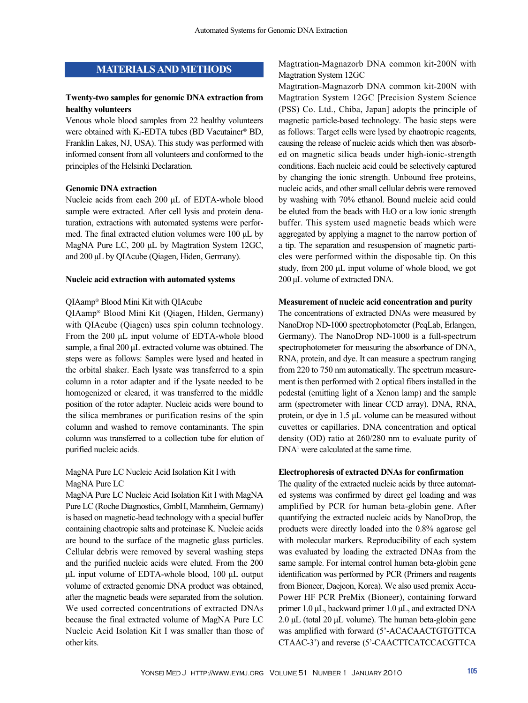# **MATERIALS AND METHODS**

## **Twenty-two samples for genomic DNA extraction from healthy volunteers**

Venous whole blood samples from 22 healthy volunteers were obtained with K<sub>2</sub>-EDTA tubes (BD Vacutainer® BD, Franklin Lakes, NJ, USA). This study was performed with informed consent from all volunteers and conformed to the principles of the Helsinki Declaration.

## **Genomic DNA extraction**

Nucleic acids from each 200 µL of EDTA-whole blood sample were extracted. After cell lysis and protein denaturation, extractions with automated systems were performed. The final extracted elution volumes were 100 µL by MagNA Pure LC, 200 µL by Magtration System 12GC, and 200 µL by QIAcube (Qiagen, Hiden, Germany).

#### **Nucleic acid extraction with automated systems**

## QIAamp® Blood Mini Kit with QIAcube

QIAamp® Blood Mini Kit (Qiagen, Hilden, Germany) with QIAcube (Qiagen) uses spin column technology. From the 200 µL input volume of EDTA-whole blood sample, a final 200 µL extracted volume was obtained. The steps were as follows: Samples were lysed and heated in the orbital shaker. Each lysate was transferred to a spin column in a rotor adapter and if the lysate needed to be homogenized or cleared, it was transferred to the middle position of the rotor adapter. Nucleic acids were bound to the silica membranes or purification resins of the spin column and washed to remove contaminants. The spin column was transferred to a collection tube for elution of purified nucleic acids.

MagNA Pure LC Nucleic Acid Isolation Kit I with MagNA Pure LC

MagNA Pure LC Nucleic Acid Isolation Kit I with MagNA Pure LC (Roche Diagnostics, GmbH, Mannheim, Germany) is based on magnetic-bead technology with a special buffer containing chaotropic salts and proteinase K. Nucleic acids are bound to the surface of the magnetic glass particles. Cellular debris were removed by several washing steps and the purified nucleic acids were eluted. From the 200 µL input volume of EDTA-whole blood, 100 µL output volume of extracted genomic DNA product was obtained, after the magnetic beads were separated from the solution. We used corrected concentrations of extracted DNAs because the final extracted volume of MagNA Pure LC Nucleic Acid Isolation Kit I was smaller than those of other kits.

Magtration-Magnazorb DNA common kit-200N with Magtration System 12GC

Magtration-Magnazorb DNA common kit-200N with Magtration System 12GC [Precision System Science (PSS) Co. Ltd., Chiba, Japan] adopts the principle of magnetic particle-based technology. The basic steps were as follows: Target cells were lysed by chaotropic reagents, causing the release of nucleic acids which then was absorbed on magnetic silica beads under high-ionic-strength conditions. Each nucleic acid could be selectively captured by changing the ionic strength. Unbound free proteins, nucleic acids, and other small cellular debris were removed by washing with 70% ethanol. Bound nucleic acid could be eluted from the beads with H2O or a low ionic strength buffer. This system used magnetic beads which were aggregated by applying a magnet to the narrow portion of a tip. The separation and resuspension of magnetic particles were performed within the disposable tip. On this study, from 200 µL input volume of whole blood, we got 200 µL volume of extracted DNA.

## **Measurement of nucleic acid concentration and purity**

The concentrations of extracted DNAs were measured by NanoDrop ND-1000 spectrophotometer (PeqLab, Erlangen, Germany). The NanoDrop ND-1000 is a full-spectrum spectrophotometer for measuring the absorbance of DNA, RNA, protein, and dye. It can measure a spectrum ranging from 220 to 750 nm automatically. The spectrum measurement is then performed with 2 optical fibers installed in the pedestal (emitting light of a Xenon lamp) and the sample arm (spectrometer with linear CCD array). DNA, RNA, protein, or dye in 1.5 µL volume can be measured without cuvettes or capillaries. DNA concentration and optical density (OD) ratio at 260/280 nm to evaluate purity of DNA1 were calculated at the same time.

#### **Electrophoresis of extracted DNAs for confirmation**

The quality of the extracted nucleic acids by three automated systems was confirmed by direct gel loading and was amplified by PCR for human beta-globin gene. After quantifying the extracted nucleic acids by NanoDrop, the products were directly loaded into the 0.8% agarose gel with molecular markers. Reproducibility of each system was evaluated by loading the extracted DNAs from the same sample. For internal control human beta-globin gene identification was performed by PCR (Primers and reagents from Bioneer, Daejeon, Korea). We also used premix Accu-Power HF PCR PreMix (Bioneer), containing forward primer 1.0 µL, backward primer 1.0 µL, and extracted DNA 2.0  $\mu$ L (total 20  $\mu$ L volume). The human beta-globin gene was amplified with forward (5'-ACACAACTGTGTTCA CTAAC-3') and reverse (5'-CAACTTCATCCACGTTCA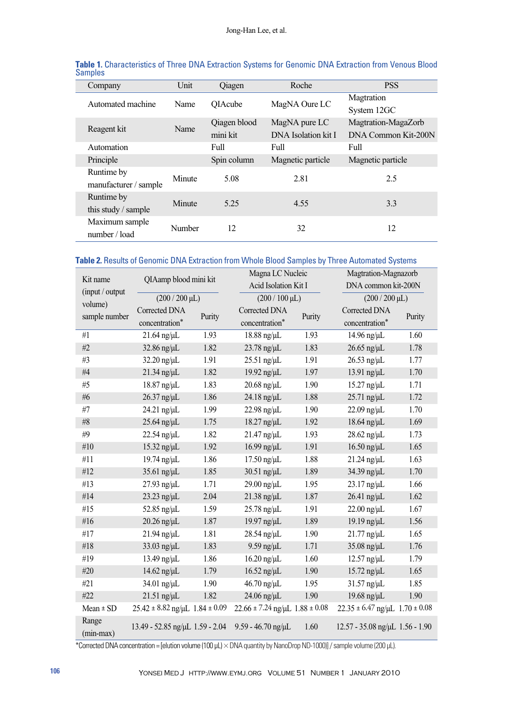| Company               | Unit   | Qiagen       | Roche               | <b>PSS</b>          |  |
|-----------------------|--------|--------------|---------------------|---------------------|--|
| Automated machine     | Name   | OIAcube      | MagNA Oure LC       | Magtration          |  |
|                       |        |              |                     | System 12GC         |  |
| Reagent kit           | Name   | Qiagen blood | MagNA pure LC       | Magtration-MagaZorb |  |
|                       |        | mini kit     | DNA Isolation kit I | DNA Common Kit-200N |  |
| Automation            |        | Full         | Full                | Full                |  |
| Principle             |        | Spin column  | Magnetic particle   | Magnetic particle   |  |
| Runtime by            | Minute | 5.08         | 2.81                | 2.5                 |  |
| manufacturer / sample |        |              |                     |                     |  |
| Runtime by            | Minute | 5.25         | 4.55                | 3.3                 |  |
| this study / sample   |        |              |                     |                     |  |
| Maximum sample        | Number | 12           | 32                  | 12                  |  |
| number / load         |        |              |                     |                     |  |

| Table 1. Characteristics of Three DNA Extraction Systems for Genomic DNA Extraction from Venous Blood |  |  |  |  |
|-------------------------------------------------------------------------------------------------------|--|--|--|--|
| Samples                                                                                               |  |  |  |  |

# **Table 2.** Results of Genomic DNA Extraction from Whole Blood Samples by Three Automated Systems

| Kit name             | QIAamp blood mini kit<br>$(200/200 \,\mu L)$ |        | Magna LC Nucleic<br>Acid Isolation Kit I<br>$(200/100 \,\mu L)$ |        | Magtration-Magnazorb<br>DNA common kit-200N<br>$(200/200 \,\mu L)$ |        |  |
|----------------------|----------------------------------------------|--------|-----------------------------------------------------------------|--------|--------------------------------------------------------------------|--------|--|
| (input / output      |                                              |        |                                                                 |        |                                                                    |        |  |
| volume)              |                                              |        |                                                                 |        |                                                                    |        |  |
| sample number        | Corrected DNA                                | Purity | Corrected DNA                                                   | Purity | Corrected DNA                                                      | Purity |  |
|                      | concentration*                               |        | concentration*                                                  |        | concentration*                                                     |        |  |
| #1                   | $21.64$ ng/ $\mu$ L                          | 1.93   | $18.88$ ng/ $\mu$ L                                             | 1.93   | 14.96 ng/µL                                                        | 1.60   |  |
| #2                   | $32.86$ ng/ $\mu$ L                          | 1.82   | $23.78$ ng/ $\mu$ L                                             | 1.83   | $26.65$ ng/ $\mu$ L                                                | 1.78   |  |
| #3                   | 32.20 ng/µL                                  | 1.91   | 25.51 ng/µL                                                     | 1.91   | $26.53$ ng/ $\mu$ L                                                | 1.77   |  |
| $\#4$                | 21.34 ng/µL                                  | 1.82   | 19.92 ng/µL                                                     | 1.97   | 13.91 ng/µL                                                        | 1.70   |  |
| #5                   | 18.87 ng/µL                                  | 1.83   | $20.68$ ng/ $\mu$ L                                             | 1.90   | 15.27 ng/µL                                                        | 1.71   |  |
| #6                   | 26.37 ng/µL                                  | 1.86   | $24.18$ ng/ $\mu$ L                                             | 1.88   | 25.71 ng/µL                                                        | 1.72   |  |
| #7                   | 24.21 ng/µL                                  | 1.99   | $22.98$ ng/ $\mu$ L                                             | 1.90   | $22.09$ ng/ $\mu$ L                                                | 1.70   |  |
| $\#8$                | $25.64$ ng/ $\mu$ L                          | 1.75   | 18.27 ng/µL                                                     | 1.92   | $18.64$ ng/ $\mu$ L                                                | 1.69   |  |
| #9                   | 22.54 ng/µL                                  | 1.82   | 21.47 ng/µL                                                     | 1.93   | $28.62$ ng/ $\mu$ L                                                | 1.73   |  |
| #10                  | $15.32$ ng/ $\mu$ L                          | 1.92   | $16.99$ ng/ $\mu$ L                                             | 1.91   | $16.50$ ng/ $\mu$ L                                                | 1.65   |  |
| #11                  | 19.74 ng/µL                                  | 1.86   | 17.50 ng/µL                                                     | 1.88   | $21.24$ ng/ $\mu$ L                                                | 1.63   |  |
| #12                  | 35.61 ng/µL                                  | 1.85   | 30.51 ng/µL                                                     | 1.89   | 34.39 ng/µL                                                        | 1.70   |  |
| #13                  | 27.93 ng/µL                                  | 1.71   | 29.00 ng/µL                                                     | 1.95   | $23.17$ ng/ $\mu$ L                                                | 1.66   |  |
| #14                  | 23.23 ng/µL                                  | 2.04   | $21.38$ ng/ $\mu$ L                                             | 1.87   | $26.41$ ng/ $\mu$ L                                                | 1.62   |  |
| #15                  | 52.85 ng/µL                                  | 1.59   | $25.78$ ng/ $\mu$ L                                             | 1.91   | $22.00$ ng/ $\mu$ L                                                | 1.67   |  |
| #16                  | $20.26$ ng/ $\mu$ L                          | 1.87   | 19.97 ng/µL                                                     | 1.89   | 19.19 ng/µL                                                        | 1.56   |  |
| #17                  | $21.94$ ng/ $\mu$ L                          | 1.81   | 28.54 ng/µL                                                     | 1.90   | $21.77$ ng/ $\mu$ L                                                | 1.65   |  |
| #18                  | 33.03 ng/µL                                  | 1.83   | $9.59$ ng/ $\mu$ L                                              | 1.71   | $35.08$ ng/ $\mu$ L                                                | 1.76   |  |
| #19                  | 13.49 ng/µL                                  | 1.86   | $16.20$ ng/ $\mu$ L                                             | 1.60   | $12.57$ ng/ $\mu$ L                                                | 1.79   |  |
| #20                  | 14.62 ng/µL                                  | 1.79   | $16.52$ ng/ $\mu$ L                                             | 1.90   | 15.72 ng/µL                                                        | 1.65   |  |
| #21                  | 34.01 ng/µL                                  | 1.90   | 46.70 ng/µL                                                     | 1.95   | $31.57$ ng/ $\mu$ L                                                | 1.85   |  |
| #22                  | $21.51$ ng/ $\mu$ L                          | 1.82   | $24.06$ ng/ $\mu$ L                                             | 1.90   | 19.68 ng/ $\mu$ L                                                  | 1.90   |  |
| $Mean \pm SD$        | $25.42 \pm 8.82$ ng/µL $1.84 \pm 0.09$       |        | $22.66 \pm 7.24$ ng/µL $1.88 \pm 0.08$                          |        | $22.35 \pm 6.47$ ng/µL $1.70 \pm 0.08$                             |        |  |
| Range<br>$(min-max)$ | 13.49 - 52.85 ng/uL 1.59 - 2.04              |        | $9.59 - 46.70$ ng/ $\mu$ L                                      | 1.60   | 12.57 - 35.08 ng/uL 1.56 - 1.90                                    |        |  |

\*Corrected DNA concentration = [elution volume (100  $\mu$ L)  $\times$  DNA quantity by NanoDrop ND-1000)] / sample volume (200  $\mu$ L).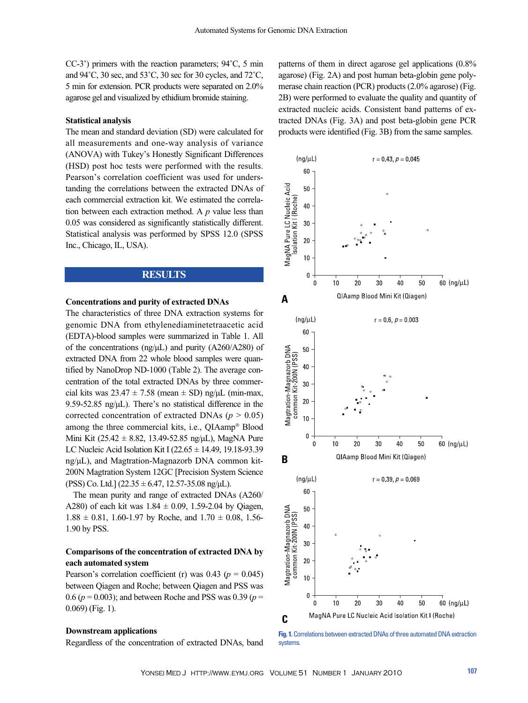CC-3') primers with the reaction parameters; 94˚C, 5 min and 94˚C, 30 sec, and 53˚C, 30 sec for 30 cycles, and 72˚C, 5 min for extension. PCR products were separated on 2.0% agarose gel and visualized by ethidium bromide staining.

#### **Statistical analysis**

The mean and standard deviation (SD) were calculated for all measurements and one-way analysis of variance (ANOVA) with Tukey's Honestly Significant Differences (HSD) post hoc tests were performed with the results. Pearson's correlation coefficient was used for understanding the correlations between the extracted DNAs of each commercial extraction kit. We estimated the correlation between each extraction method. A *p* value less than 0.05 was considered as significantly statistically different. Statistical analysis was performed by SPSS 12.0 (SPSS Inc., Chicago, IL, USA).

## **RESULTS**

## **Concentrations and purity of extracted DNAs**

The characteristics of three DNA extraction systems for genomic DNA from ethylenediaminetetraacetic acid (EDTA)-blood samples were summarized in Table 1. All of the concentrations (ng/ $\mu$ L) and purity (A260/A280) of extracted DNA from 22 whole blood samples were quantified by NanoDrop ND-1000 (Table 2). The average concentration of the total extracted DNAs by three commercial kits was  $23.47 \pm 7.58$  (mean  $\pm$  SD) ng/ $\mu$ L (min-max, 9.59-52.85 ng/µL). There's no statistical difference in the corrected concentration of extracted DNAs ( $p > 0.05$ ) among the three commercial kits, i.e., QIAamp® Blood Mini Kit (25.42  $\pm$  8.82, 13.49-52.85 ng/µL), MagNA Pure LC Nucleic Acid Isolation Kit I  $(22.65 \pm 14.49, 19.18 - 93.39)$ ng/µL), and Magtration-Magnazorb DNA common kit-200N Magtration System 12GC [Precision System Science (PSS) Co. Ltd.]  $(22.35 \pm 6.47, 12.57 - 35.08 \text{ ng/µL}).$ 

The mean purity and range of extracted DNAs (A260/ A280) of each kit was  $1.84 \pm 0.09$ , 1.59-2.04 by Oiagen,  $1.88 \pm 0.81$ , 1.60-1.97 by Roche, and  $1.70 \pm 0.08$ , 1.56-1.90 by PSS.

## **Comparisons of the concentration of extracted DNA by each automated system**

Pearson's correlation coefficient (r) was  $0.43$  ( $p = 0.045$ ) between Qiagen and Roche; between Qiagen and PSS was 0.6 (*p* = 0.003); and between Roche and PSS was 0.39 (*p* = 0.069) (Fig. 1).

#### **Downstream applications**

Regardless of the concentration of extracted DNAs, band

patterns of them in direct agarose gel applications (0.8% agarose) (Fig. 2A) and post human beta-globin gene polymerase chain reaction (PCR) products (2.0% agarose) (Fig. 2B) were performed to evaluate the quality and quantity of extracted nucleic acids. Consistent band patterns of extracted DNAs (Fig. 3A) and post beta-globin gene PCR products were identified (Fig. 3B) from the same samples.



**Fig. 1.**Correlations between extracted DNAs of three automated DNA extraction systems.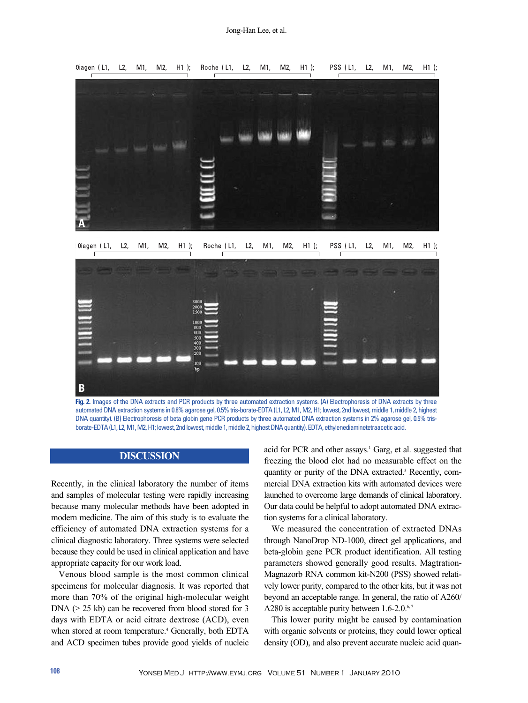

Oiagen (L1,  $L2$  $M1$ . M2,  $H1$  ); Roche (L1,  $L2$ ,  $M1.$ M2,  $H1$  ); PSS (L1,  $L2$ ,  $M1.$  $M2.$  $H1$  ):



automated DNA extraction systems in 0.8% agarose gel, 0.5% tris-borate-EDTA (L1, L2, M1, M2, H1; lowest, 2nd lowest, middle 1, middle 2, highest DNA quantity). (B) Electrophoresis of beta globin gene PCR products by three automated DNA extraction systems in 2% agarose gel, 0.5% trisborate-EDTA (L1, L2, M1, M2, H1; lowest, 2nd lowest, middle 1, middle 2, highest DNA quantity). EDTA, ethylenediaminetetraacetic acid.

# **DISCUSSION**

Recently, in the clinical laboratory the number of items and samples of molecular testing were rapidly increasing because many molecular methods have been adopted in modern medicine. The aim of this study is to evaluate the efficiency of automated DNA extraction systems for a clinical diagnostic laboratory. Three systems were selected because they could be used in clinical application and have appropriate capacity for our work load.

Venous blood sample is the most common clinical specimens for molecular diagnosis. It was reported that more than 70% of the original high-molecular weight DNA ( $> 25$  kb) can be recovered from blood stored for 3 days with EDTA or acid citrate dextrose (ACD), even when stored at room temperature.<sup>4</sup> Generally, both EDTA and ACD specimen tubes provide good yields of nucleic acid for PCR and other assays.<sup>1</sup> Garg, et al. suggested that freezing the blood clot had no measurable effect on the quantity or purity of the DNA extracted.<sup>5</sup> Recently, commercial DNA extraction kits with automated devices were launched to overcome large demands of clinical laboratory. Our data could be helpful to adopt automated DNA extraction systems for a clinical laboratory.

We measured the concentration of extracted DNAs through NanoDrop ND-1000, direct gel applications, and beta-globin gene PCR product identification. All testing parameters showed generally good results. Magtration-Magnazorb RNA common kit-N200 (PSS) showed relatively lower purity, compared to the other kits, but it was not beyond an acceptable range. In general, the ratio of A260/ A280 is acceptable purity between 1.6-2.0.<sup>6,7</sup>

This lower purity might be caused by contamination with organic solvents or proteins, they could lower optical density (OD), and also prevent accurate nucleic acid quan-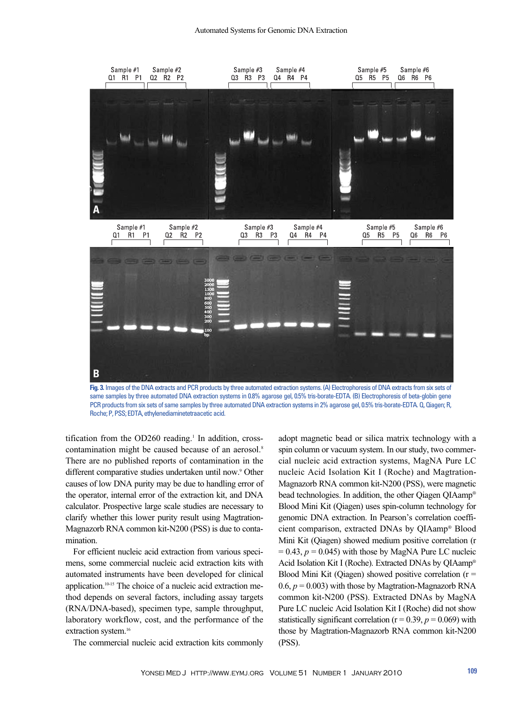

**Fig. 3.** Images of the DNA extracts and PCR products by three automated extraction systems. (A) Electrophoresis of DNA extracts from six sets of same samples by three automated DNA extraction systems in 0.8% agarose gel, 0.5% tris-borate-EDTA. (B) Electrophoresis of beta-globin gene PCR products from six sets of same samples by three automated DNA extraction systems in 2% agarose gel, 0.5% tris-borate-EDTA. Q, Qiagen; R, Roche; P, PSS; EDTA, ethylenediaminetetraacetic acid.

tification from the  $OD260$  reading.<sup>1</sup> In addition, crosscontamination might be caused because of an aerosol.<sup>8</sup> There are no published reports of contamination in the different comparative studies undertaken until now.<sup>9</sup> Other causes of low DNA purity may be due to handling error of the operator, internal error of the extraction kit, and DNA calculator. Prospective large scale studies are necessary to clarify whether this lower purity result using Magtration-Magnazorb RNA common kit-N200 (PSS) is due to contamination.

For efficient nucleic acid extraction from various specimens, some commercial nucleic acid extraction kits with automated instruments have been developed for clinical application.10-15 The choice of a nucleic acid extraction method depends on several factors, including assay targets (RNA/DNA-based), specimen type, sample throughput, laboratory workflow, cost, and the performance of the extraction system.<sup>16</sup>

The commercial nucleic acid extraction kits commonly

adopt magnetic bead or silica matrix technology with a spin column or vacuum system. In our study, two commercial nucleic acid extraction systems, MagNA Pure LC nucleic Acid Isolation Kit I (Roche) and Magtration-Magnazorb RNA common kit-N200 (PSS), were magnetic bead technologies. In addition, the other Qiagen QIAamp® Blood Mini Kit (Qiagen) uses spin-column technology for genomic DNA extraction. In Pearson's correlation coefficient comparison, extracted DNAs by QIAamp® Blood Mini Kit (Qiagen) showed medium positive correlation (r  $= 0.43$ ,  $p = 0.045$ ) with those by MagNA Pure LC nucleic Acid Isolation Kit I (Roche). Extracted DNAs by QIAamp® Blood Mini Kit (Qiagen) showed positive correlation  $(r =$ 0.6,  $p = 0.003$ ) with those by Magtration-Magnazorb RNA common kit-N200 (PSS). Extracted DNAs by MagNA Pure LC nucleic Acid Isolation Kit I (Roche) did not show statistically significant correlation ( $r = 0.39$ ,  $p = 0.069$ ) with those by Magtration-Magnazorb RNA common kit-N200 (PSS).